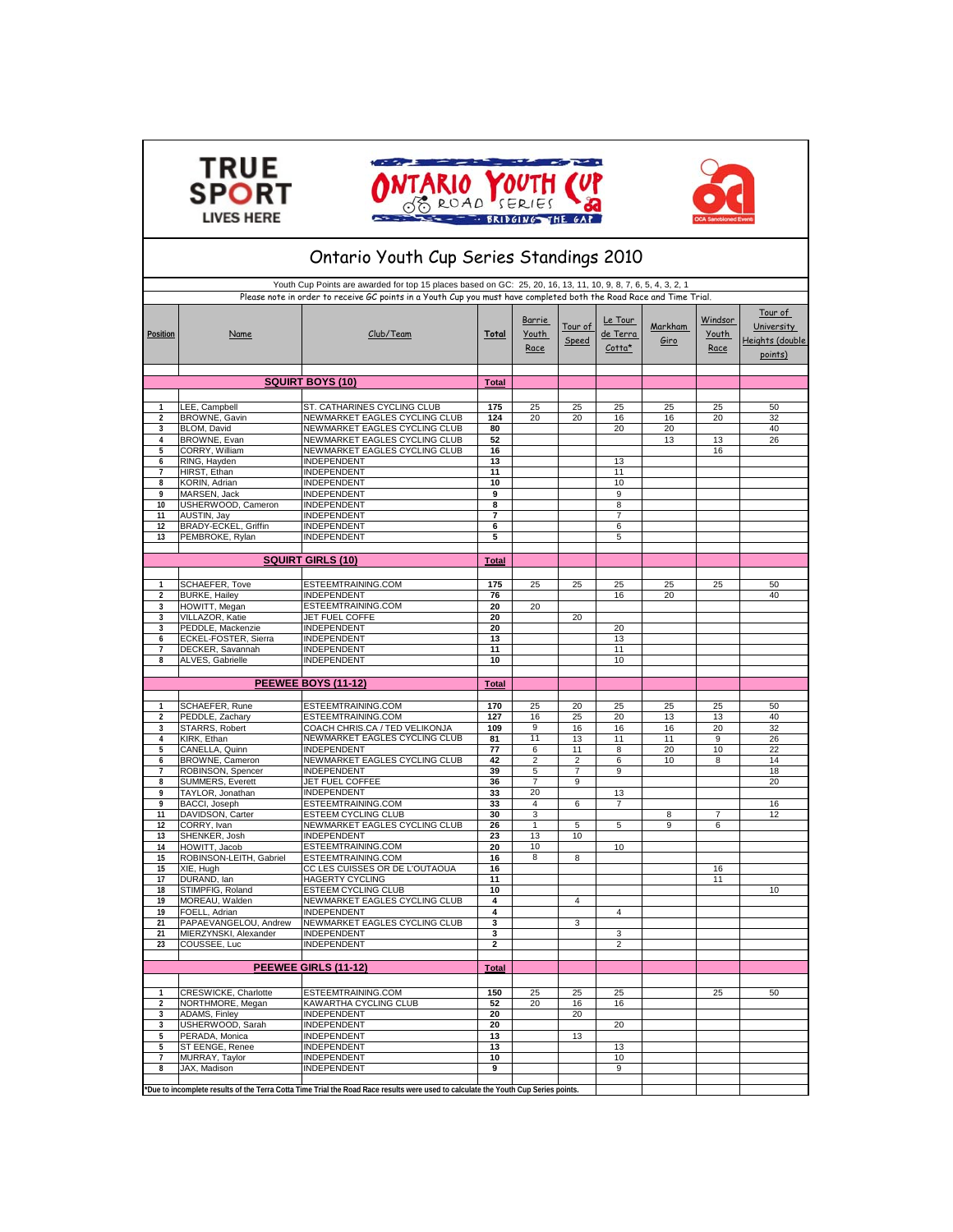





## **Total 1** LEE, Campbell ST. CATHARINES CYCLING CLUB **175** 25 25 25 25 25 50 **2** BROWNE, Gavin NEWMARKET EAGLES CYCLING CLUB **124** 20 20 16 16 20 32 **3** BLOM, David NEWMARKET EAGLES CYCLING CLUB **80** 20 20 40 **4** BROWNE, Evan NEWMARKET EAGLES CYCLING CLUB 52<br> **4** CORRY, William NEWMARKET EAGLES CYCLING CLUB 16 **5** CORRY, William **STATE INEWMARKET EAGLES CYCLING CLUB** 16<br> **6** RING. Havden INDEPENDENT 13 13 RING, Hayden INDEPENDENT 13 13<br>
14 HIRST, Ethan INDEPENDENT 11 1 **7** HIRST, Ethan INDEPENDENT **11** 11 **8** KORIN, Adrian **INDEPENDENT** 10 10 10 10 **9** MARSEN, Jack INDEPENDENT **9** 9 **USHERWOOD, Cameron 11** AUSTIN, Jay INDEPENDENT **7** 7 **12** BRADY-ECKEL, Griffin INDEPENDENT **6** 6 **PEMBROKE, Rylan Total** 1 SCHAEFER, Tove ESTEEMTRAINING.COM **175** 25 25 25 25 25 25 50<br>2 BURKE, Hailey **INDEPENDENT** 76 1 16 20 40 **2** BURKE, Hailey **INDEPENDENT 76** 16 20 20 20 20 20 20 **3** HOWITT, Megan ESTEEMTRAINING.COM **20** 20 **3** VILLAZOR, Katie JET FUEL COFFE **20** 20 **3** PEDDLE, Mackenzie INDEPENDENT **20** 20 , Position **Markham** Markham **Markham** Club/Team **Total** Total Tour of de Terra Markham Name **Club/Team Total** Youth Speed de Terra Giro **SQUIRT BOYS (10)** Tour of **University** Heights (double points) Ontario Youth Cup Series Standings 2010 Youth Cup Points are awarded for top 15 places based on GC: 25, 20, 16, 13, 11, 10, 9, 8, 7, 6, 5, 4, 3, 2, 1 Please note in order to receive GC points in a Youth Cup you must have completed both the Road Race and Time Trial. Tour of Speed **Windsor** Youth Race Club/Team Le Tour de Terra Cotta\* Barrie Youth Race **SQUIRT GIRLS (10) 6** ECKEL-FOSTER, Sierra INDEPENDENT **13** 13 **7** DECKER, Savannah INDEPENDENT **11** 11 ALVES, Gabrielle **INDEPENDENT** 10 10 10 **Total 1** SCHAEFER, Rune ESTEEMTRAINING.COM **170** 25 20 25 25 25 50 **2** PEDDLE Zachary **125 20 13 14 20 14 20 14 20 14 20 14 26 20 14 20 14 20 14 20 14 20 14 20 14 20 14 20 14 20 14 20 14 20 14 20 14 20 14 20 14 20 14 20 14 20 14 20 14 20 14 20 14 20 14 20 14 20 14 20 14 20 14 20 14 20 14 3** STARRS, Robert COACH CHRIS.CA / TED VELIKONJA **109** 9 16 16 16 20 32 **4** KIRK, Ethan NEWMARKET EAGLES CYCLING CLUB **81** 11 13 11 11 9 26<br>5 CANELLA Quinn INDEPENDENT 77 6 11 8 20 10 22 **5** CANELLA, Quinn INDEPENDENT **77** 6 11 8 20 10 22 **6** BROWNE, Cameron NEWMARKET EAGLES CYCLING CLUB **42** 2 2 6 10 8 14<br>7 ROBINSON, Spencer **INDEPENDENT** 39 5 7 9 18 18 **7** ROBINSON, Spencer **INDEPENDENT** 39 5 7 9 **8** SUMMERS, Everett JET FUEL COFFEE **36** 7 9 20 **9** TAYLOR, Jonathan **INDEPENDENT 33** 20<br> **9** BACCI, Jonathan INDEPENDENT **33** 4 6<br> **9** BACCI, Joseph ESTEEMTRAINING.COM 33 4 6 **ESTEEMTRAINING.COM 33** 4 6 7 11 DAVIDSON, Carter ESTEEM CYCLING CLUB 30 3 3 8 3 7 12<br>12 CORRY, Ivan NEWMARKET EAGLES CYCLING CLUB 26 1 5 5 9 6 **12 CORRY, Ivan 12 NEWMARKET EAGLES CYCLING CLUB 26** 1 5<br> **13 SHENKER** Josh INDEPENDENT 23 1 1 10 **13** SHENKER, Josh **13** INDEPENDENT **13** 13<br> **14** BOWITT Jacob **INDEPENTRAINING.COM** 20 10 **14** HOWITT, Jacob **ESTEEMTRAINING.COM 20** 10 10 10<br>15 ROBINSON-LEITH, Gabriel ESTEEMTRAINING.COM **20** 16 8 8 **15** ROBINSON-LEITH, Gabriel ESTEEMTRAINING.COM **16** 8 8 **15** XIE, Hugh CC LES CUISSES OR DE L'OUTAOUA **16** 16 **17** DURAND, Ian HAGERTY CYCLING **11** 11 **10** 10 10 10 10 10 10 10 **19** MOREAU, Walden NEWMARKET EAGLES CYCLING CLUB **4** 4 **19** FOELL, Adrian **1999** INDEPENDENT **1999** INDEPENDENT **4 1999** INDEPENDENT **1999** INDEPENDENT **1999** INDEPENDENT **1999** INDEPENDENT **1999** INDEPENDENT **1999** INDEPENDENT **1999** INDEPENDENT **1999** INDEPENDENT **1999** IN **21** PAPAEVANGELOU, Andrew NEWMARKET EAGLES CYCLING CLUB **3** 3 **21** MIERZYNSKI, Alexander INDEPENDENT **3** 3 **23** COUSSEE, Luc **Total 1** CRESWICKE, Charlotte ESTEEMTRAINING.COM **150** 25 25 25 25 50 **2** NORTHMORE, Megan KAWARTHA CYCLING CLUB **52** 20 16 16 **3** ADAMS, Finley **20 INDEPENDENT 20** 20<br> **ISHERWOOD Sarah** INDEPENDENT **20 3** USHERWOOD, Sarah INDEPENDENT **20** 20 **5** PERADA, Monica **INDEPENDENT** 13 13 13 **5** ST EENGE, Renee INDEPENDENT 13<br> **13** 13<br>
MURRAY. Tavlor INDEPENDENT 10 **7** MURRAY, Taylor INDEPENDENT **10** 10 8 JAX, Madison **PEEWEE GIRLS (11-12) PEEWEE BOYS (11-12)**

**\*Due to incomplete results of the Terra Cotta Time Trial the Road Race results were used to calculate the Youth Cup Series points.**